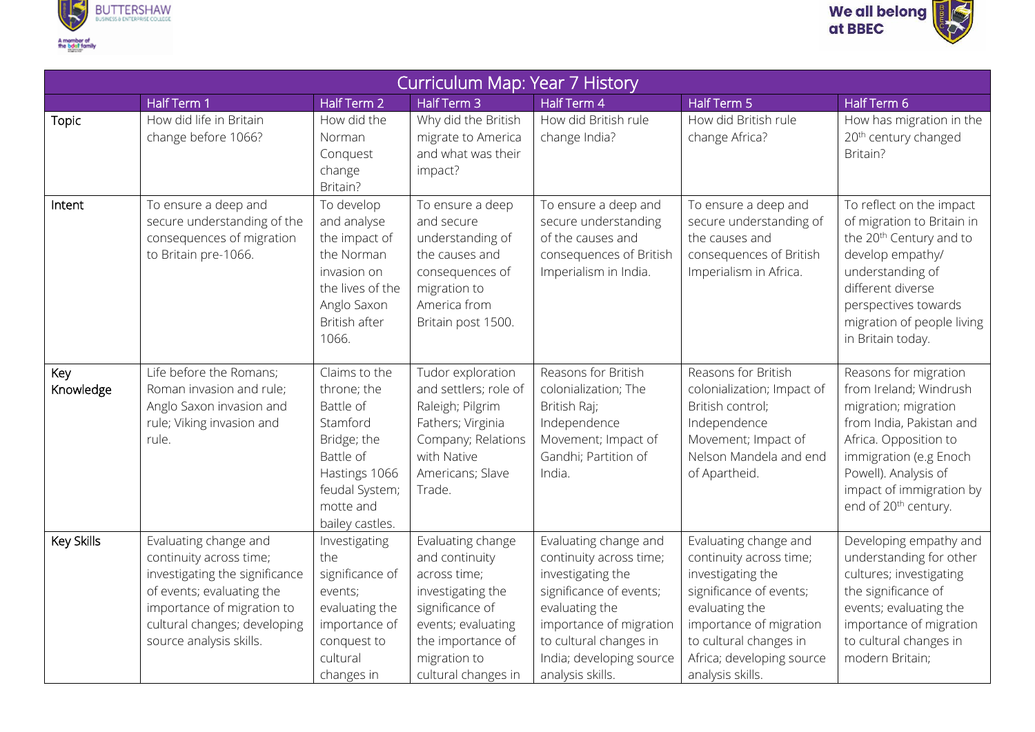



| Curriculum Map: Year 7 History |                                                                                                                                                                                                          |                                                                                                                                                      |                                                                                                                                                                               |                                                                                                                                                                                                                         |                                                                                                                                                                                                                          |                                                                                                                                                                                                                                                |  |
|--------------------------------|----------------------------------------------------------------------------------------------------------------------------------------------------------------------------------------------------------|------------------------------------------------------------------------------------------------------------------------------------------------------|-------------------------------------------------------------------------------------------------------------------------------------------------------------------------------|-------------------------------------------------------------------------------------------------------------------------------------------------------------------------------------------------------------------------|--------------------------------------------------------------------------------------------------------------------------------------------------------------------------------------------------------------------------|------------------------------------------------------------------------------------------------------------------------------------------------------------------------------------------------------------------------------------------------|--|
|                                | Half Term 1                                                                                                                                                                                              | Half Term 2                                                                                                                                          | Half Term 3                                                                                                                                                                   | Half Term 4                                                                                                                                                                                                             | Half Term 5                                                                                                                                                                                                              | Half Term 6                                                                                                                                                                                                                                    |  |
| Topic                          | How did life in Britain<br>change before 1066?                                                                                                                                                           | How did the<br>Norman<br>Conquest<br>change<br>Britain?                                                                                              | Why did the British<br>migrate to America<br>and what was their<br>impact?                                                                                                    | How did British rule<br>change India?                                                                                                                                                                                   | How did British rule<br>change Africa?                                                                                                                                                                                   | How has migration in the<br>20 <sup>th</sup> century changed<br>Britain?                                                                                                                                                                       |  |
| Intent                         | To ensure a deep and<br>secure understanding of the<br>consequences of migration<br>to Britain pre-1066.                                                                                                 | To develop<br>and analyse<br>the impact of<br>the Norman<br>invasion on<br>the lives of the<br>Anglo Saxon<br>British after<br>1066.                 | To ensure a deep<br>and secure<br>understanding of<br>the causes and<br>consequences of<br>migration to<br>America from<br>Britain post 1500.                                 | To ensure a deep and<br>secure understanding<br>of the causes and<br>consequences of British<br>Imperialism in India.                                                                                                   | To ensure a deep and<br>secure understanding of<br>the causes and<br>consequences of British<br>Imperialism in Africa.                                                                                                   | To reflect on the impact<br>of migration to Britain in<br>the 20 <sup>th</sup> Century and to<br>develop empathy/<br>understanding of<br>different diverse<br>perspectives towards<br>migration of people living<br>in Britain today.          |  |
| Key<br>Knowledge               | Life before the Romans;<br>Roman invasion and rule;<br>Anglo Saxon invasion and<br>rule; Viking invasion and<br>rule.                                                                                    | Claims to the<br>throne; the<br>Battle of<br>Stamford<br>Bridge; the<br>Battle of<br>Hastings 1066<br>feudal System;<br>motte and<br>bailey castles. | Tudor exploration<br>and settlers; role of<br>Raleigh; Pilgrim<br>Fathers; Virginia<br>Company; Relations<br>with Native<br>Americans; Slave<br>Trade.                        | Reasons for British<br>colonialization; The<br>British Raj;<br>Independence<br>Movement; Impact of<br>Gandhi; Partition of<br>India.                                                                                    | Reasons for British<br>colonialization; Impact of<br>British control;<br>Independence<br>Movement; Impact of<br>Nelson Mandela and end<br>of Apartheid.                                                                  | Reasons for migration<br>from Ireland; Windrush<br>migration; migration<br>from India, Pakistan and<br>Africa. Opposition to<br>immigration (e.g Enoch<br>Powell). Analysis of<br>impact of immigration by<br>end of 20 <sup>th</sup> century. |  |
| Key Skills                     | Evaluating change and<br>continuity across time;<br>investigating the significance<br>of events; evaluating the<br>importance of migration to<br>cultural changes; developing<br>source analysis skills. | Investigating<br>the<br>significance of<br>events;<br>evaluating the<br>importance of<br>conquest to<br>cultural<br>changes in                       | Evaluating change<br>and continuity<br>across time;<br>investigating the<br>significance of<br>events; evaluating<br>the importance of<br>migration to<br>cultural changes in | Evaluating change and<br>continuity across time;<br>investigating the<br>significance of events;<br>evaluating the<br>importance of migration<br>to cultural changes in<br>India; developing source<br>analysis skills. | Evaluating change and<br>continuity across time;<br>investigating the<br>significance of events;<br>evaluating the<br>importance of migration<br>to cultural changes in<br>Africa; developing source<br>analysis skills. | Developing empathy and<br>understanding for other<br>cultures; investigating<br>the significance of<br>events; evaluating the<br>importance of migration<br>to cultural changes in<br>modern Britain;                                          |  |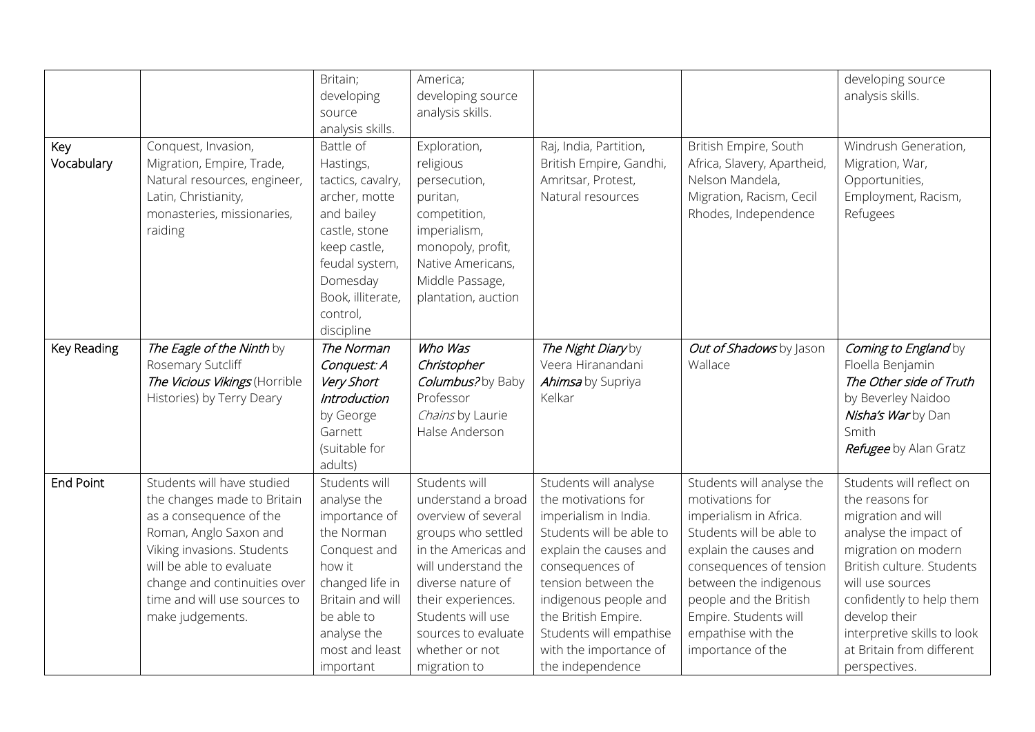|                   |                                                                                                                                                                                                                                                              | Britain;                                                                                                                                                                                 | America;                                                                                                                                                                                                                                                |                                                                                                                                                                                                                                                                                                |                                                                                                                                                                                                                                                                                 | developing source                                                                                                                                                                                                                                                                            |
|-------------------|--------------------------------------------------------------------------------------------------------------------------------------------------------------------------------------------------------------------------------------------------------------|------------------------------------------------------------------------------------------------------------------------------------------------------------------------------------------|---------------------------------------------------------------------------------------------------------------------------------------------------------------------------------------------------------------------------------------------------------|------------------------------------------------------------------------------------------------------------------------------------------------------------------------------------------------------------------------------------------------------------------------------------------------|---------------------------------------------------------------------------------------------------------------------------------------------------------------------------------------------------------------------------------------------------------------------------------|----------------------------------------------------------------------------------------------------------------------------------------------------------------------------------------------------------------------------------------------------------------------------------------------|
|                   |                                                                                                                                                                                                                                                              | developing                                                                                                                                                                               | developing source                                                                                                                                                                                                                                       |                                                                                                                                                                                                                                                                                                |                                                                                                                                                                                                                                                                                 | analysis skills.                                                                                                                                                                                                                                                                             |
|                   |                                                                                                                                                                                                                                                              | source                                                                                                                                                                                   | analysis skills.                                                                                                                                                                                                                                        |                                                                                                                                                                                                                                                                                                |                                                                                                                                                                                                                                                                                 |                                                                                                                                                                                                                                                                                              |
|                   |                                                                                                                                                                                                                                                              | analysis skills.                                                                                                                                                                         |                                                                                                                                                                                                                                                         |                                                                                                                                                                                                                                                                                                |                                                                                                                                                                                                                                                                                 |                                                                                                                                                                                                                                                                                              |
| Key<br>Vocabulary | Conquest, Invasion,<br>Migration, Empire, Trade,<br>Natural resources, engineer,<br>Latin, Christianity,<br>monasteries, missionaries,<br>raiding                                                                                                            | Battle of<br>Hastings,<br>tactics, cavalry,<br>archer, motte<br>and bailey<br>castle, stone<br>keep castle,<br>feudal system,<br>Domesday<br>Book, illiterate,<br>control,<br>discipline | Exploration,<br>religious<br>persecution,<br>puritan,<br>competition,<br>imperialism,<br>monopoly, profit,<br>Native Americans,<br>Middle Passage,<br>plantation, auction                                                                               | Raj, India, Partition,<br>British Empire, Gandhi,<br>Amritsar, Protest,<br>Natural resources                                                                                                                                                                                                   | British Empire, South<br>Africa, Slavery, Apartheid,<br>Nelson Mandela,<br>Migration, Racism, Cecil<br>Rhodes, Independence                                                                                                                                                     | Windrush Generation,<br>Migration, War,<br>Opportunities,<br>Employment, Racism,<br>Refugees                                                                                                                                                                                                 |
| Key Reading       | The Eagle of the Ninth by<br>Rosemary Sutcliff<br>The Vicious Vikings (Horrible<br>Histories) by Terry Deary                                                                                                                                                 | The Norman<br>Conquest: A<br>Very Short<br><b>Introduction</b><br>by George<br>Garnett<br>(suitable for<br>adults)                                                                       | Who Was<br>Christopher<br>Columbus?by Baby<br>Professor<br>Chains by Laurie<br>Halse Anderson                                                                                                                                                           | The Night Diary by<br>Veera Hiranandani<br>Ahimsa by Supriya<br>Kelkar                                                                                                                                                                                                                         | Out of Shadows by Jason<br>Wallace                                                                                                                                                                                                                                              | Coming to England by<br>Floella Benjamin<br>The Other side of Truth<br>by Beverley Naidoo<br>Nisha's Warby Dan<br>Smith<br>Refugee by Alan Gratz                                                                                                                                             |
| <b>End Point</b>  | Students will have studied<br>the changes made to Britain<br>as a consequence of the<br>Roman, Anglo Saxon and<br>Viking invasions. Students<br>will be able to evaluate<br>change and continuities over<br>time and will use sources to<br>make judgements. | Students will<br>analyse the<br>importance of<br>the Norman<br>Conquest and<br>how it<br>changed life in<br>Britain and will<br>be able to<br>analyse the<br>most and least<br>important | Students will<br>understand a broad<br>overview of several<br>groups who settled<br>in the Americas and<br>will understand the<br>diverse nature of<br>their experiences.<br>Students will use<br>sources to evaluate<br>whether or not<br>migration to | Students will analyse<br>the motivations for<br>imperialism in India.<br>Students will be able to<br>explain the causes and<br>consequences of<br>tension between the<br>indigenous people and<br>the British Empire.<br>Students will empathise<br>with the importance of<br>the independence | Students will analyse the<br>motivations for<br>imperialism in Africa.<br>Students will be able to<br>explain the causes and<br>consequences of tension<br>between the indigenous<br>people and the British<br>Empire. Students will<br>empathise with the<br>importance of the | Students will reflect on<br>the reasons for<br>migration and will<br>analyse the impact of<br>migration on modern<br>British culture. Students<br>will use sources<br>confidently to help them<br>develop their<br>interpretive skills to look<br>at Britain from different<br>perspectives. |